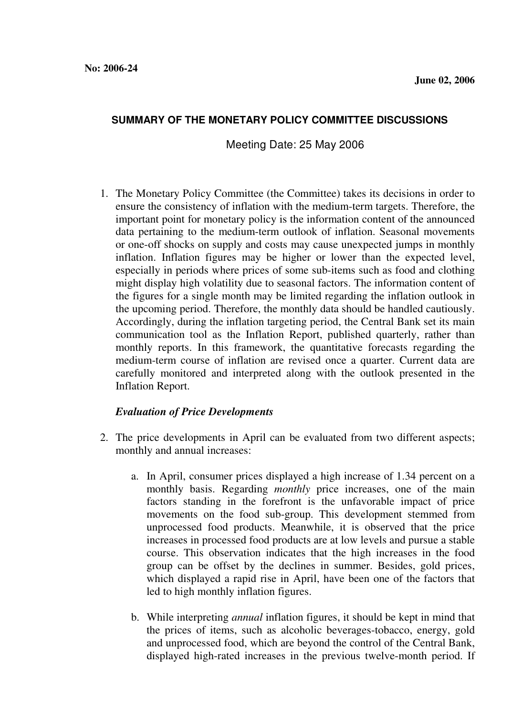## **SUMMARY OF THE MONETARY POLICY COMMITTEE DISCUSSIONS**

Meeting Date: 25 May 2006

1. The Monetary Policy Committee (the Committee) takes its decisions in order to ensure the consistency of inflation with the medium-term targets. Therefore, the important point for monetary policy is the information content of the announced data pertaining to the medium-term outlook of inflation. Seasonal movements or one-off shocks on supply and costs may cause unexpected jumps in monthly inflation. Inflation figures may be higher or lower than the expected level, especially in periods where prices of some sub-items such as food and clothing might display high volatility due to seasonal factors. The information content of the figures for a single month may be limited regarding the inflation outlook in the upcoming period. Therefore, the monthly data should be handled cautiously. Accordingly, during the inflation targeting period, the Central Bank set its main communication tool as the Inflation Report, published quarterly, rather than monthly reports. In this framework, the quantitative forecasts regarding the medium-term course of inflation are revised once a quarter. Current data are carefully monitored and interpreted along with the outlook presented in the Inflation Report.

## *Evaluation of Price Developments*

- 2. The price developments in April can be evaluated from two different aspects; monthly and annual increases:
	- a. In April, consumer prices displayed a high increase of 1.34 percent on a monthly basis. Regarding *monthly* price increases, one of the main factors standing in the forefront is the unfavorable impact of price movements on the food sub-group. This development stemmed from unprocessed food products. Meanwhile, it is observed that the price increases in processed food products are at low levels and pursue a stable course. This observation indicates that the high increases in the food group can be offset by the declines in summer. Besides, gold prices, which displayed a rapid rise in April, have been one of the factors that led to high monthly inflation figures.
	- b. While interpreting *annual* inflation figures, it should be kept in mind that the prices of items, such as alcoholic beverages-tobacco, energy, gold and unprocessed food, which are beyond the control of the Central Bank, displayed high-rated increases in the previous twelve-month period. If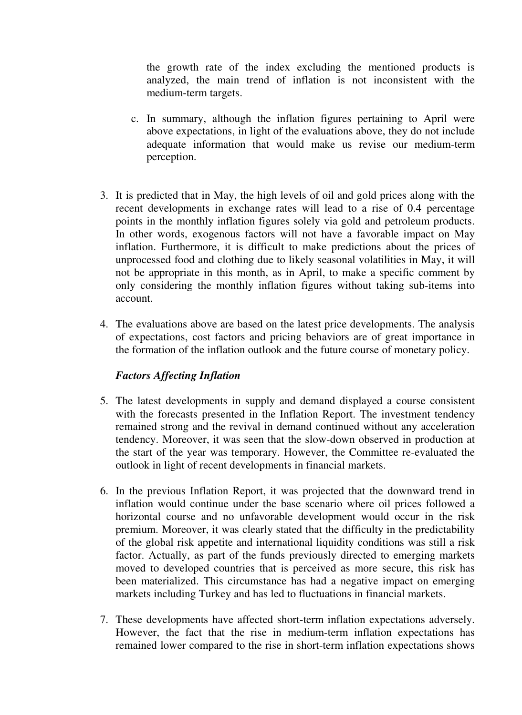the growth rate of the index excluding the mentioned products is analyzed, the main trend of inflation is not inconsistent with the medium-term targets.

- c. In summary, although the inflation figures pertaining to April were above expectations, in light of the evaluations above, they do not include adequate information that would make us revise our medium-term perception.
- 3. It is predicted that in May, the high levels of oil and gold prices along with the recent developments in exchange rates will lead to a rise of 0.4 percentage points in the monthly inflation figures solely via gold and petroleum products. In other words, exogenous factors will not have a favorable impact on May inflation. Furthermore, it is difficult to make predictions about the prices of unprocessed food and clothing due to likely seasonal volatilities in May, it will not be appropriate in this month, as in April, to make a specific comment by only considering the monthly inflation figures without taking sub-items into account.
- 4. The evaluations above are based on the latest price developments. The analysis of expectations, cost factors and pricing behaviors are of great importance in the formation of the inflation outlook and the future course of monetary policy.

## *Factors Affecting Inflation*

- 5. The latest developments in supply and demand displayed a course consistent with the forecasts presented in the Inflation Report. The investment tendency remained strong and the revival in demand continued without any acceleration tendency. Moreover, it was seen that the slow-down observed in production at the start of the year was temporary. However, the Committee re-evaluated the outlook in light of recent developments in financial markets.
- 6. In the previous Inflation Report, it was projected that the downward trend in inflation would continue under the base scenario where oil prices followed a horizontal course and no unfavorable development would occur in the risk premium. Moreover, it was clearly stated that the difficulty in the predictability of the global risk appetite and international liquidity conditions was still a risk factor. Actually, as part of the funds previously directed to emerging markets moved to developed countries that is perceived as more secure, this risk has been materialized. This circumstance has had a negative impact on emerging markets including Turkey and has led to fluctuations in financial markets.
- 7. These developments have affected short-term inflation expectations adversely. However, the fact that the rise in medium-term inflation expectations has remained lower compared to the rise in short-term inflation expectations shows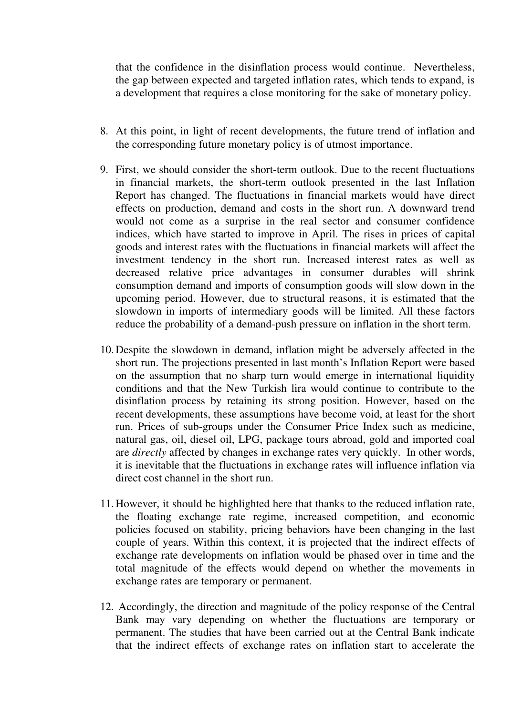that the confidence in the disinflation process would continue. Nevertheless, the gap between expected and targeted inflation rates, which tends to expand, is a development that requires a close monitoring for the sake of monetary policy.

- 8. At this point, in light of recent developments, the future trend of inflation and the corresponding future monetary policy is of utmost importance.
- 9. First, we should consider the short-term outlook. Due to the recent fluctuations in financial markets, the short-term outlook presented in the last Inflation Report has changed. The fluctuations in financial markets would have direct effects on production, demand and costs in the short run. A downward trend would not come as a surprise in the real sector and consumer confidence indices, which have started to improve in April. The rises in prices of capital goods and interest rates with the fluctuations in financial markets will affect the investment tendency in the short run. Increased interest rates as well as decreased relative price advantages in consumer durables will shrink consumption demand and imports of consumption goods will slow down in the upcoming period. However, due to structural reasons, it is estimated that the slowdown in imports of intermediary goods will be limited. All these factors reduce the probability of a demand-push pressure on inflation in the short term.
- 10. Despite the slowdown in demand, inflation might be adversely affected in the short run. The projections presented in last month's Inflation Report were based on the assumption that no sharp turn would emerge in international liquidity conditions and that the New Turkish lira would continue to contribute to the disinflation process by retaining its strong position. However, based on the recent developments, these assumptions have become void, at least for the short run. Prices of sub-groups under the Consumer Price Index such as medicine, natural gas, oil, diesel oil, LPG, package tours abroad, gold and imported coal are *directly* affected by changes in exchange rates very quickly. In other words, it is inevitable that the fluctuations in exchange rates will influence inflation via direct cost channel in the short run.
- 11. However, it should be highlighted here that thanks to the reduced inflation rate, the floating exchange rate regime, increased competition, and economic policies focused on stability, pricing behaviors have been changing in the last couple of years. Within this context, it is projected that the indirect effects of exchange rate developments on inflation would be phased over in time and the total magnitude of the effects would depend on whether the movements in exchange rates are temporary or permanent.
- 12. Accordingly, the direction and magnitude of the policy response of the Central Bank may vary depending on whether the fluctuations are temporary or permanent. The studies that have been carried out at the Central Bank indicate that the indirect effects of exchange rates on inflation start to accelerate the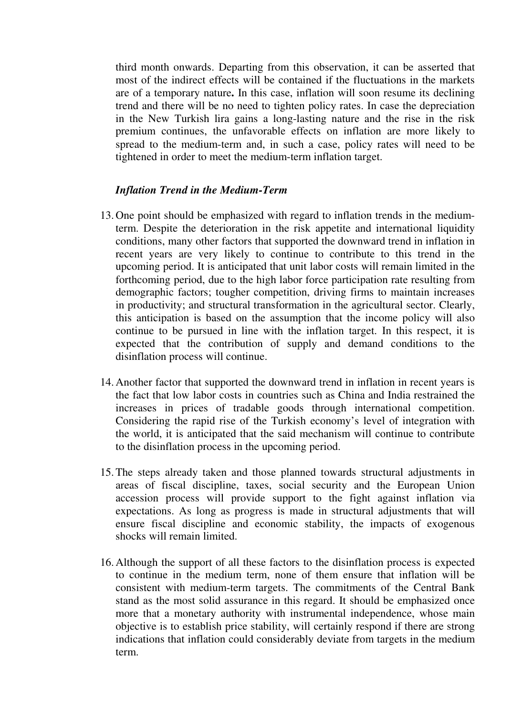third month onwards. Departing from this observation, it can be asserted that most of the indirect effects will be contained if the fluctuations in the markets are of a temporary nature**.** In this case, inflation will soon resume its declining trend and there will be no need to tighten policy rates. In case the depreciation in the New Turkish lira gains a long-lasting nature and the rise in the risk premium continues, the unfavorable effects on inflation are more likely to spread to the medium-term and, in such a case, policy rates will need to be tightened in order to meet the medium-term inflation target.

## *Inflation Trend in the Medium-Term*

- 13. One point should be emphasized with regard to inflation trends in the mediumterm. Despite the deterioration in the risk appetite and international liquidity conditions, many other factors that supported the downward trend in inflation in recent years are very likely to continue to contribute to this trend in the upcoming period. It is anticipated that unit labor costs will remain limited in the forthcoming period, due to the high labor force participation rate resulting from demographic factors; tougher competition, driving firms to maintain increases in productivity; and structural transformation in the agricultural sector. Clearly, this anticipation is based on the assumption that the income policy will also continue to be pursued in line with the inflation target. In this respect, it is expected that the contribution of supply and demand conditions to the disinflation process will continue.
- 14. Another factor that supported the downward trend in inflation in recent years is the fact that low labor costs in countries such as China and India restrained the increases in prices of tradable goods through international competition. Considering the rapid rise of the Turkish economy's level of integration with the world, it is anticipated that the said mechanism will continue to contribute to the disinflation process in the upcoming period.
- 15. The steps already taken and those planned towards structural adjustments in areas of fiscal discipline, taxes, social security and the European Union accession process will provide support to the fight against inflation via expectations. As long as progress is made in structural adjustments that will ensure fiscal discipline and economic stability, the impacts of exogenous shocks will remain limited.
- 16. Although the support of all these factors to the disinflation process is expected to continue in the medium term, none of them ensure that inflation will be consistent with medium-term targets. The commitments of the Central Bank stand as the most solid assurance in this regard. It should be emphasized once more that a monetary authority with instrumental independence, whose main objective is to establish price stability, will certainly respond if there are strong indications that inflation could considerably deviate from targets in the medium term.